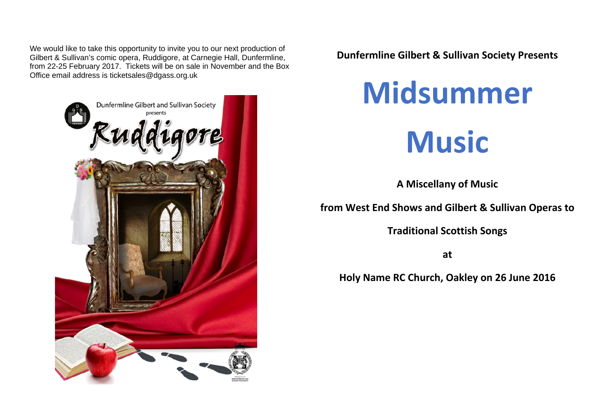We would like to take this opportunity to invite you to our next production of Gilbert & Sullivan's comic opera, Ruddigore, at Carnegie Hall, Dunfermline, from 22-25 February 2017. Tickets will be on sale in November and the Box Office email address is ticketsales@dgass.org.uk



**Dunfermline Gilbert & Sullivan Society Presents**

## **Midsummer Music**

**A Miscellany of Music**

**from West End Shows and Gilbert & Sullivan Operas to**

**Traditional Scottish Songs**

**at**

**Holy Name RC Church, Oakley on 26 June 2016**